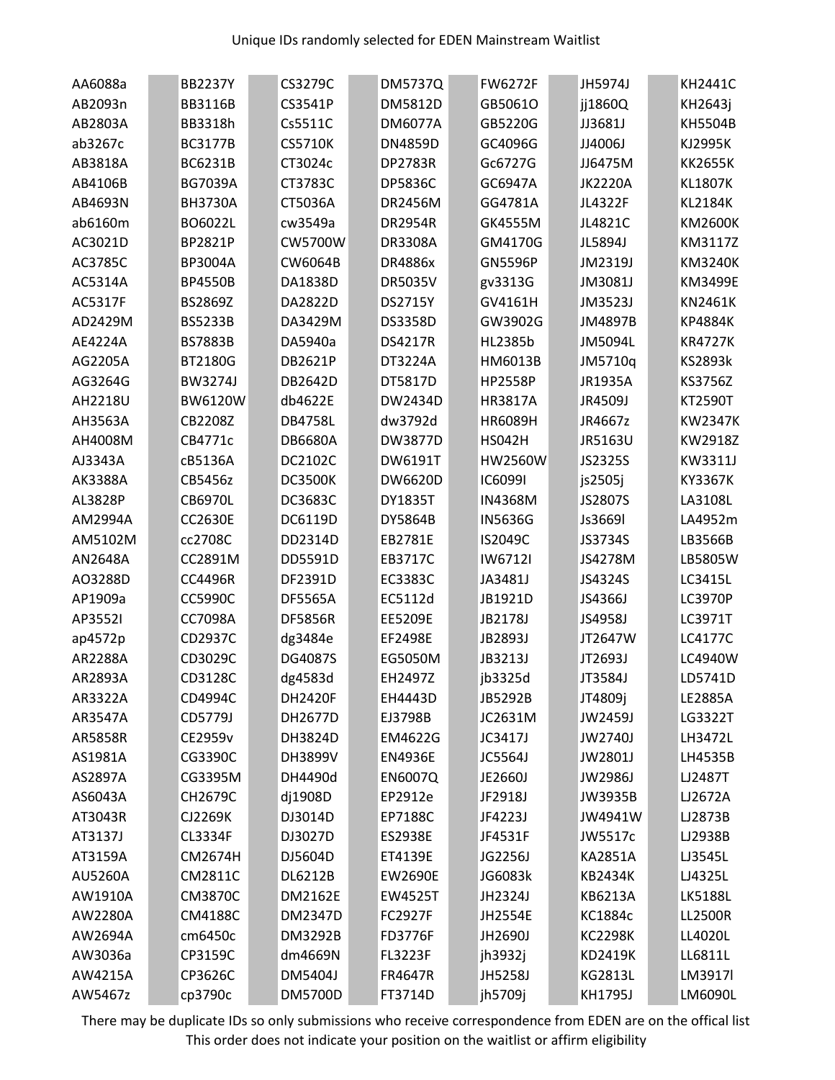| AA6088a | <b>BB2237Y</b> | CS3279C        | <b>DM5737Q</b> | <b>FW6272F</b> | JH5974J        | KH2441C        |
|---------|----------------|----------------|----------------|----------------|----------------|----------------|
| AB2093n | <b>BB3116B</b> | CS3541P        | DM5812D        | GB5061O        | jj1860Q        | KH2643j        |
| AB2803A | BB3318h        | Cs5511C        | <b>DM6077A</b> | GB5220G        | JJ3681J        | KH5504B        |
| ab3267c | <b>BC3177B</b> | <b>CS5710K</b> | <b>DN4859D</b> | GC4096G        | JJ4006J        | KJ2995K        |
| AB3818A | BC6231B        | CT3024c        | <b>DP2783R</b> | Gc6727G        | JJ6475M        | <b>KK2655K</b> |
| AB4106B | <b>BG7039A</b> | CT3783C        | <b>DP5836C</b> | GC6947A        | <b>JK2220A</b> | KL1807K        |
| AB4693N | <b>BH3730A</b> | CT5036A        | DR2456M        | GG4781A        | JL4322F        | <b>KL2184K</b> |
| ab6160m | BO6022L        | cw3549a        | <b>DR2954R</b> | GK4555M        | JL4821C        | <b>KM2600K</b> |
| AC3021D | BP2821P        | CW5700W        | <b>DR3308A</b> | GM4170G        | JL5894J        | KM3117Z        |
| AC3785C | BP3004A        | CW6064B        | <b>DR4886x</b> | <b>GN5596P</b> | JM2319J        | <b>KM3240K</b> |
| AC5314A | <b>BP4550B</b> | DA1838D        | <b>DR5035V</b> | gv3313G        | JM3081J        | KM3499E        |
| AC5317F | BS2869Z        | DA2822D        | DS2715Y        | GV4161H        | JM3523J        | KN2461K        |
| AD2429M | <b>BS5233B</b> | DA3429M        | DS3358D        | GW3902G        | JM4897B        | KP4884K        |
| AE4224A | <b>BS7883B</b> | DA5940a        | <b>DS4217R</b> | HL2385b        | JM5094L        | <b>KR4727K</b> |
| AG2205A | BT2180G        | DB2621P        | DT3224A        | HM6013B        | JM5710q        | KS2893k        |
| AG3264G | <b>BW3274J</b> | DB2642D        | DT5817D        | <b>HP2558P</b> | JR1935A        | KS3756Z        |
| AH2218U | <b>BW6120W</b> | db4622E        | DW2434D        | HR3817A        | JR4509J        | KT2590T        |
| AH3563A | CB2208Z        | <b>DB4758L</b> | dw3792d        | <b>HR6089H</b> | JR4667z        | <b>KW2347K</b> |
| AH4008M | CB4771c        | <b>DB6680A</b> | DW3877D        | <b>HS042H</b>  | JR5163U        | KW2918Z        |
| AJ3343A | cB5136A        | DC2102C        | DW6191T        | <b>HW2560W</b> | JS2325S        | KW3311J        |
| AK3388A | CB5456z        | <b>DC3500K</b> | DW6620D        | <b>IC6099I</b> | js2505j        | KY3367K        |
| AL3828P | <b>CB6970L</b> | DC3683C        | <b>DY1835T</b> | IN4368M        | JS2807S        | LA3108L        |
| AM2994A | <b>CC2630E</b> | DC6119D        | DY5864B        | <b>IN5636G</b> | Js3669l        | LA4952m        |
| AM5102M | cc2708C        | DD2314D        | EB2781E        | IS2049C        | JS3734S        | LB3566B        |
| AN2648A | CC2891M        | DD5591D        | EB3717C        | IW6712I        | JS4278M        | LB5805W        |
| A03288D | <b>CC4496R</b> | DF2391D        | EC3383C        | JA3481J        | JS4324S        | LC3415L        |
| AP1909a | CC5990C        | <b>DF5565A</b> | EC5112d        | JB1921D        | JS4366J        | <b>LC3970P</b> |
| AP35521 | CC7098A        | <b>DF5856R</b> | EE5209E        | JB2178J        | JS4958J        | LC3971T        |
| ap4572p | CD2937C        | dg3484e        | EF2498E        | JB2893J        | JT2647W        | <b>LC4177C</b> |
| AR2288A | CD3029C        | <b>DG4087S</b> | EG5050M        | JB3213J        | JT2693J        | LC4940W        |
| AR2893A | CD3128C        | dg4583d        | EH2497Z        | jb3325d        | JT3584J        | LD5741D        |
| AR3322A | CD4994C        | <b>DH2420F</b> | EH4443D        | JB5292B        | JT4809j        | LE2885A        |
| AR3547A | CD5779J        | DH2677D        | EJ3798B        | JC2631M        | JW2459J        | LG3322T        |
| AR5858R | CE2959v        | DH3824D        | EM4622G        | JC3417J        | JW2740J        | LH3472L        |
| AS1981A | CG3390C        | DH3899V        | <b>EN4936E</b> | JC5564J        | JW2801J        | LH4535B        |
| AS2897A | CG3395M        | DH4490d        | <b>EN6007Q</b> | JE2660J        | JW2986J        | LJ2487T        |
| AS6043A | CH2679C        | dj1908D        | EP2912e        | JF2918J        | JW3935B        | LJ2672A        |
| AT3043R | CJ2269K        | DJ3014D        | EP7188C        | JF4223J        | JW4941W        | LJ2873B        |
| AT3137J | CL3334F        | DJ3027D        | <b>ES2938E</b> | JF4531F        | JW5517c        | LJ2938B        |
| AT3159A | CM2674H        | DJ5604D        | ET4139E        | JG2256J        | <b>KA2851A</b> | LJ3545L        |
| AU5260A | CM2811C        | <b>DL6212B</b> | <b>EW2690E</b> | JG6083k        | <b>KB2434K</b> | LJ4325L        |
| AW1910A | <b>CM3870C</b> | DM2162E        | <b>EW4525T</b> | JH2324J        | KB6213A        | <b>LK5188L</b> |
| AW2280A | <b>CM4188C</b> | DM2347D        | <b>FC2927F</b> | JH2554E        | KC1884c        | <b>LL2500R</b> |
| AW2694A | cm6450c        | DM3292B        | <b>FD3776F</b> | JH2690J        | <b>KC2298K</b> | LL4020L        |
| AW3036a | CP3159C        | dm4669N        | <b>FL3223F</b> | jh3932j        | KD2419K        | LL6811L        |
| AW4215A | CP3626C        | DM5404J        | <b>FR4647R</b> | JH5258J        | KG2813L        | LM3917l        |
| AW5467z | cp3790c        | DM5700D        | FT3714D        | jh5709j        | KH1795J        | LM6090L        |

There may be duplicate IDs so only submissions who receive correspondence from EDEN are on the offical list This order does not indicate your position on the waitlist or affirm eligibility